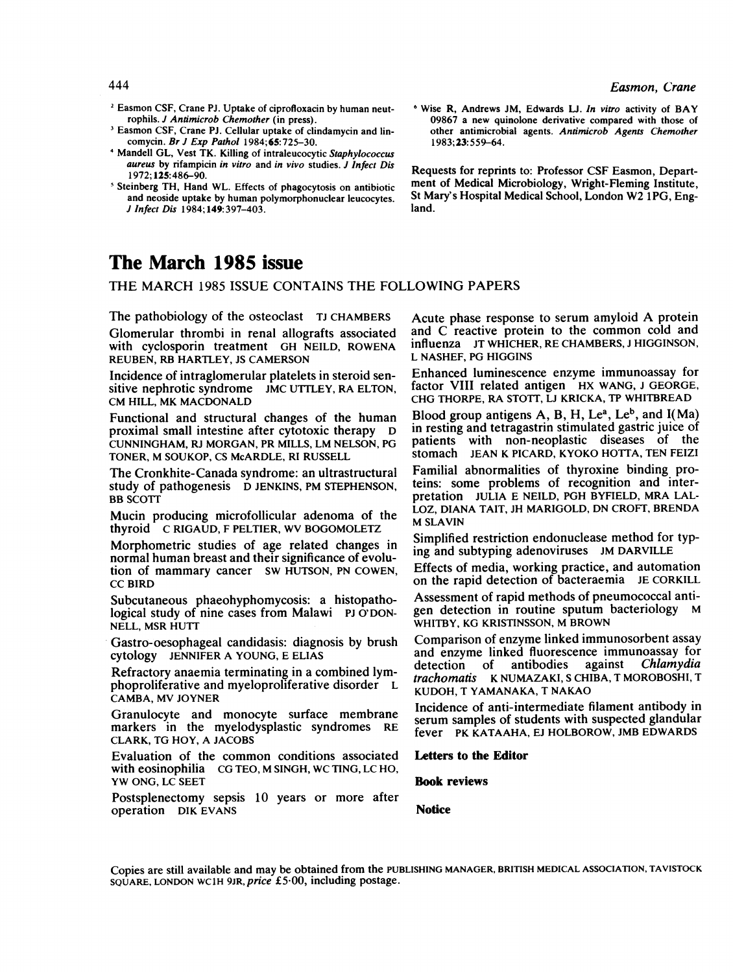- <sup>2</sup> Easmon CSF, Crane PJ. Uptake of ciprofloxacin by human neutrophils. J Antimicrob Chemother (in press).
- Easmon CSF, Crane PJ. Cellular uptake of clindamycin and lincomycin. Br J Exp Pathol 1984; 65:725-30.
- Mandell GL, Vest TK. Killing of intraleucocytic Staphylococcus aureus by rifampicin in vitro and in vivo studies. J Infect Dis 1972; 125:486-90.
- Steinberg TH, Hand WL. Effects of phagocytosis on antibiotic and neoside uptake by human polymorphonuclear leucocytes. J Infect Dis 1984; 149:397-403.
- The March 1985 issue

THE MARCH <sup>1985</sup> ISSUE CONTAINS THE FOLLOWING PAPERS

The pathobiology of the osteoclast TJ CHAMBERS Glomerular thrombi in renal allografts associated with cyclosporin treatment GH NEILD, ROWENA REUBEN, RB HARTLEY, JS CAMERSON

Incidence of intraglomerular platelets in steroid sensitive nephrotic syndrome JMC UTTLEY, RA ELTON, CM HILL, MK MACDONALD

Functional and structural changes of the human proximal small intestine after cytotoxic therapy D CUNNINGHAM, RJ MORGAN, PR MILLS, LM NELSON, PG TONER, M SOUKOP, CS McARDLE, RI RUSSELL

The Cronkhite- Canada syndrome: an ultrastructural study of pathogenesis D JENKINS, PM STEPHENSON, **BB SCOTT** 

Mucin producing microfollicular adenoma of the thyroid C RIGAUD, <sup>F</sup> PELTIER, WV BOGOMOLETZ

Morphometric studies of age related changes in normal human breast and their significance of evolution of mammary cancer SW HUTSON, PN COWEN, CC BIRD

Subcutaneous phaeohyphomycosis: a histopathological study of nine cases from Malawi PJ O'DON-NELL, MSR HUTT

Gastro-oesophageal candidasis: diagnosis by brush cytology JENNIFER A YOUNG, E ELIAS

Refractory anaemia terminating in a combined lymphoproliferative and myeloproliferative disorder L CAMBA, MV JOYNER

Granulocyte and monocyte surface membrane markers in the myelodysplastic syndromes RE CLARK, TG HOY, A JACOBS

Evaluation of the common conditions associated with eosinophilia CG TEO, M SINGH, WC TING, LC HO, YW ONG, LC SEET

Postsplenectomy sepsis 10 years or more after operation DIK EVANS

Acute phase response to serum amyloid A protein and C reactive protein to the common cold and influenza JT WHICHER, RE CHAMBERS, <sup>J</sup> HIGGINSON, L NASHEF, PG HIGGINS

<sup>6</sup> Wise R, Andrews JM, Edwards LJ. In vitro activity of BAY 09867 a new quinolone derivative compared with those of other antimicrobial agents. Antmicrob Agents Chemother

Requests for reprints to: Professor CSF Easmon, Department of Medical Microbiology, Wright-Fleming Institute, St Mary's Hospital Medical School, London W2 1PG, Eng-

1983;23:559-64.

land.

Enhanced luminescence enzyme immunoassay for factor VIII related antigen HX WANG, <sup>J</sup> GEORGE, CHG THORPE, RA STOTT, LJ KRICKA, TP WHITBREAD

Blood group antigens A, B, H, Le<sup>a</sup>, Le<sup>b</sup>, and  $I(Ma)$ in resting and tetragastrin stimulated gastric juice of patients with non-neoplastic diseases of the stomach JEAN K PICARD, KYOKO HOTTA, TEN FEIZI

Familial abnormalities of thyroxine binding proteins: some problems of recognition and interpretation JULIA E NEILD, PGH BYFIELD, MRA LAL-LOZ, DIANA TAIT, JH MARIGOLD, DN CROFT, BRENDA M SLAVIN

Simplified restriction endonuclease method for typing and subtyping adenoviruses JM DARVILLE

Effects of media, working practice, and automation on the rapid detection of bacteraemia JE CORKILL

Assessment of rapid methods of pneumococcal antigen detection in routine sputum bacteriology WHITBY, KG KRISTINSSON, M BROWN

Comparison of enzyme linked immunosorbent assay and enzyme linked fluorescence immunoassay for<br>detection of antibodies against *Chlamydia* Chlamydia trachomatis K NUMAZAKI, S CHIBA, T MOROBOSHI, T KUDOH, T YAMANAKA, T NAKAO

Incidence of anti-intermediate filament antibody in serum samples of students with suspected glandular fever PK KATAAHA, EJ HOLBOROW, JMB EDWARDS

Letters to the Editor

Book reviews

Notice

Copies are still available and may be obtained from the PUBLISHING MANAGER, BRITISH MEDICAL ASSOCIATION, TAVISTOCK SQUARE, LONDON WC1H 9JR, price £<sup>5</sup> 00, including postage.